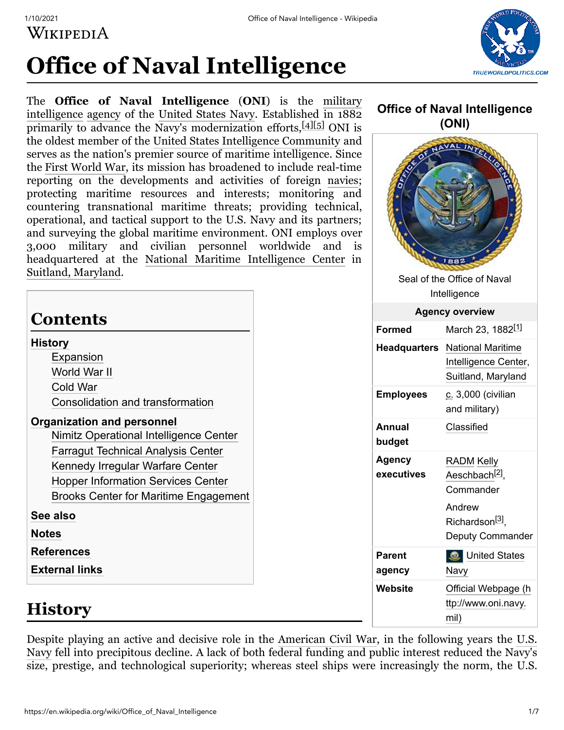WIKIPEDIA



# **Office of Naval Intelligence**

The **Office of Naval Intelligence** (**ONI**) is the military intelligence [agency](https://en.wikipedia.org/wiki/List_of_federal_agencies_in_the_United_States) of [the United States Navy. Established in 1882](https://en.wikipedia.org/wiki/Military_intelligence) primarily to advance the Navy's modernization efforts, [\[4\]](#page-5-3)[\[5\]](#page-5-4) ONI is the oldest member of the [United States Intelligence Community](https://en.wikipedia.org/wiki/United_States_Intelligence_Community) and serves as the nation's premier source of maritime intelligence. Since the [First World War](https://en.wikipedia.org/wiki/First_World_War), its mission has broadened to include real-time reporting on the developments and activities of foreign [navies](https://en.wikipedia.org/wiki/Navy); protecting maritime resources and interests; monitoring and countering transnational maritime threats; providing technical, operational, and tactical support to the U.S. Navy and its partners; and surveying the global maritime environment. ONI employs over 3,000 military and civilian personnel worldwide and headquartered at the [National Maritime Intelligence Center](https://en.wikipedia.org/wiki/National_Maritime_Intelligence_Center) in [Suitland, Maryland](https://en.wikipedia.org/wiki/Suitland,_Maryland).

# **Contents**

### **[History](#page-0-0)**

[Expansion](#page-1-0) [World War II](#page-2-0) [Cold War](#page-2-1) [Consolidation and transformation](#page-3-0)

### **[Organization and personnel](#page-3-1)**

[Nimitz Operational Intelligence Center](#page-4-0) [Farragut Technical Analysis Center](#page-4-1) [Kennedy Irregular Warfare Center](#page-4-2) [Hopper Information Services Center](#page-5-5) [Brooks Center for Maritime Engagement](#page-5-6)

**[See also](#page-5-7)**

**[Notes](#page-5-8)**

**[References](#page-5-9)**

**[External links](#page-6-0)**

## <span id="page-0-0"></span>**History**

Despite playing an active and decisive role in the [American Civil War](https://en.wikipedia.org/wiki/American_Civil_War), in the following years the U.S. Navy [fell into precipitous decline. A lack of both federal funding and public interest reduced the Navy's](https://en.wikipedia.org/wiki/U.S._Navy) size, prestige, and technological superiority; whereas steel ships were increasingly the norm, the U.S.

### **Office of Naval Intelligence (ONI)**

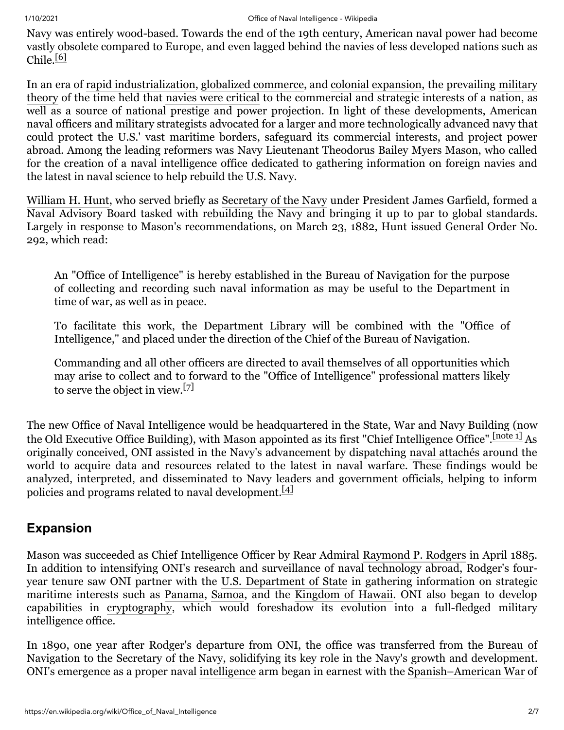Navy was entirely wood-based. Towards the end of the 19th century, American naval power had become vastly obsolete compared to Europe, and even lagged behind the navies of less developed nations such as Chile. $[6]$ 

[In an era of r](https://en.wikipedia.org/wiki/Military_theory)[apid industrializatio](https://en.wikipedia.org/wiki/Industrial_Revolution)[n,](https://en.wikipedia.org/wiki/Military_theory) [globalized commerce](https://en.wikipedia.org/wiki/Globalization)[, and](https://en.wikipedia.org/wiki/Military_theory) [colonial expansion](https://en.wikipedia.org/wiki/Colonial_expansion)[, the prevailing military](https://en.wikipedia.org/wiki/Military_theory) theory of the time held that [navies were critical](https://en.wikipedia.org/wiki/The_Influence_of_Sea_Power_upon_History) to the commercial and strategic interests of a nation, as well as a source of national prestige and power projection. In light of these developments, American naval officers and military strategists advocated for a larger and more technologically advanced navy that could protect the U.S.' vast maritime borders, safeguard its commercial interests, and project power abroad. Among the leading reformers was Navy Lieutenant [Theodorus Bailey Myers Mason,](https://en.wikipedia.org/wiki/Theodorus_Bailey_Myers_Mason) who called for the creation of a naval intelligence office dedicated to gathering information on foreign navies and the latest in naval science to help rebuild the U.S. Navy.

[William H. Hunt,](https://en.wikipedia.org/wiki/William_H._Hunt) who served briefly as [Secretary of the Navy](https://en.wikipedia.org/wiki/Secretary_of_the_Navy) under President James Garfield, formed a Naval Advisory Board tasked with rebuilding the Navy and bringing it up to par to global standards. Largely in response to Mason's recommendations, on March 23, 1882, Hunt issued General Order No. 292, which read:

An "Office of Intelligence" is hereby established in the Bureau of Navigation for the purpose of collecting and recording such naval information as may be useful to the Department in time of war, as well as in peace.

To facilitate this work, the Department Library will be combined with the "Office of Intelligence," and placed under the direction of the Chief of the Bureau of Navigation.

Commanding and all other officers are directed to avail themselves of all opportunities which may arise to collect and to forward to the "Office of Intelligence" professional matters likely to serve the object in view.[\[7\]](#page-6-1)

The new Office of Naval Intelligence would be headquartered in the State, War and Navy Building (now the [Old Executive Office Building](https://en.wikipedia.org/wiki/Old_Executive_Office_Building)), with Mason appointed as its first "Chief Intelligence Office". [\[note 1\]](#page-5-11) As originally conceived, ONI assisted in the Navy's advancement by dispatching [naval attachés](https://en.wikipedia.org/wiki/Military_attach%C3%A9) around the world to acquire data and resources related to the latest in naval warfare. These findings would be analyzed, interpreted, and disseminated to Navy leaders and government officials, helping to inform policies and programs related to naval development.<sup>[\[4\]](#page-5-3)</sup>

## <span id="page-1-0"></span>**Expansion**

Mason was succeeded as Chief Intelligence Officer by Rear Admiral [Raymond P. Rodgers](https://en.wikipedia.org/wiki/Raymond_P._Rodgers) in April 1885. In addition to intensifying ONI's research and surveillance of naval technology abroad, Rodger's fouryear tenure saw ONI partner with the [U.S. Department of State](https://en.wikipedia.org/wiki/U.S._Department_of_State) in gathering information on strategic maritime interests such as [Panama,](https://en.wikipedia.org/wiki/Panama) [Samoa](https://en.wikipedia.org/wiki/Samoa), and the [Kingdom of Hawaii](https://en.wikipedia.org/wiki/Kingdom_of_Hawaii). ONI also began to develop capabilities in [cryptography](https://en.wikipedia.org/wiki/Cryptography), which would foreshadow its evolution into a full-fledged military intelligence office.

[In 1890, one year after Rodger's departure from ONI, the office was transferred from the Bureau of](https://en.wikipedia.org/wiki/Bureau_of_Navigation_(U.S._Navy)) Navigation to the [Secretary of the Navy](https://en.wikipedia.org/wiki/United_States_Secretary_of_the_Navy), solidifying its key role in the Navy's growth and development. ONI's emergence as a proper naval [intelligence](https://en.wikipedia.org/wiki/Military_intelligence) arm began in earnest with the [Spanish–American War](https://en.wikipedia.org/wiki/Spanish%E2%80%93American_War) of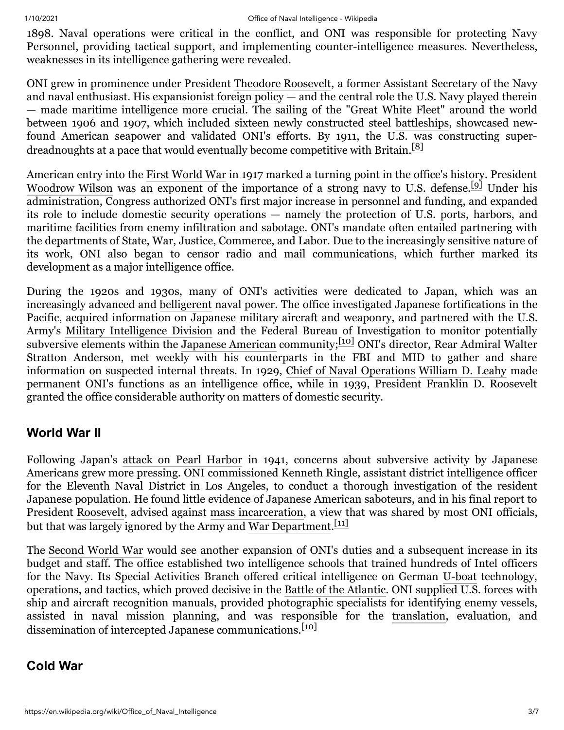1898. Naval operations were critical in the conflict, and ONI was responsible for protecting Navy Personnel, providing tactical support, and implementing counter-intelligence measures. Nevertheless, weaknesses in its intelligence gathering were revealed.

ONI grew in prominence under President [Theodore Roosevelt,](https://en.wikipedia.org/wiki/Theodore_Roosevelt) a former Assistant Secretary of the Navy and naval enthusiast. His [expansionist foreign policy](https://en.wikipedia.org/wiki/Big_Stick_Policy)  $-$  and the central role the U.S. Navy played therein — made maritime intelligence more crucial. The sailing of the "[Great White Fleet](https://en.wikipedia.org/wiki/Great_White_Fleet)" around the world between 1906 and 1907, which included sixteen newly constructed steel [battleships](https://en.wikipedia.org/wiki/Battleships), showcased newfound American seapower and validated ONI's efforts. By 1911, the U.S. was constructing super-dreadnoughts at a pace that would eventually become competitive with Britain.<sup>[\[8\]](#page-6-2)</sup>

American entry into the [First World War](https://en.wikipedia.org/wiki/First_World_War) in 1917 marked a turning point in the office's history. President [Woodrow Wilson](https://en.wikipedia.org/wiki/Woodrow_Wilson) was an exponent of the importance of a strong navy to U.S. defense.<sup>[\[9\]](#page-6-3)</sup> Under his administration, Congress authorized ONI's first major increase in personnel and funding, and expanded its role to include domestic security operations — namely the protection of U.S. ports, harbors, and maritime facilities from enemy infiltration and sabotage. ONI's mandate often entailed partnering with the departments of State, War, Justice, Commerce, and Labor. Due to the increasingly sensitive nature of its work, ONI also began to censor radio and mail communications, which further marked its development as a major intelligence office.

During the 1920s and 1930s, many of ONI's activities were dedicated to Japan, which was an increasingly advanced and [belligerent](https://en.wikipedia.org/wiki/Japanese_invasion_of_Manchuria) naval power. The office investigated Japanese fortifications in the Pacific, acquired information on Japanese military aircraft and weaponry, and partnered with the U.S. Army's [Military Intelligence Division](https://en.wikipedia.org/wiki/Military_Intelligence_Division) and the Federal Bureau of Investigation to monitor potentially subversive elements within the [Japanese American](https://en.wikipedia.org/wiki/Japanese_American) community;<sup>[\[10\]](#page-6-4)</sup> ONI's director, Rear Admiral Walter Stratton Anderson, met weekly with his counterparts in the FBI and MID to gather and share information on suspected internal threats. In 1929, [Chief of Naval Operations](https://en.wikipedia.org/wiki/Chief_of_Naval_Operations) [William D. Leahy](https://en.wikipedia.org/wiki/William_D._Leahy) made permanent ONI's functions as an intelligence office, while in 1939, President Franklin D. Roosevelt granted the office considerable authority on matters of domestic security.

### <span id="page-2-0"></span>**World War II**

Following Japan's [attack on Pearl Harbor](https://en.wikipedia.org/wiki/Attack_on_Pearl_Harbor) in 1941, concerns about subversive activity by Japanese Americans grew more pressing. ONI commissioned Kenneth Ringle, assistant district intelligence officer for the Eleventh Naval District in Los Angeles, to conduct a thorough investigation of the resident Japanese population. He found little evidence of Japanese American saboteurs, and in his final report to President [Roosevelt,](https://en.wikipedia.org/wiki/Franklin_D._Roosevelt) advised against [mass incarceration,](https://en.wikipedia.org/wiki/Internment_of_Japanese_Americans) a view that was shared by most ONI officials, but that was largely ignored by the Army and [War Department.](https://en.wikipedia.org/wiki/United_States_Department_of_War)<sup>[\[11\]](#page-6-5)</sup>

The [Second World War](https://en.wikipedia.org/wiki/Second_World_War) would see another expansion of ONI's duties and a subsequent increase in its budget and staff. The office established two intelligence schools that trained hundreds of Intel officers for the Navy. Its Special Activities Branch offered critical intelligence on German [U-boat](https://en.wikipedia.org/wiki/U-boat) technology, operations, and tactics, which proved decisive in the [Battle of the Atlantic.](https://en.wikipedia.org/wiki/Battle_of_the_Atlantic) ONI supplied U.S. forces with ship and aircraft recognition manuals, provided photographic specialists for identifying enemy vessels, assisted in naval mission planning, and was responsible for the [translation,](https://en.wikipedia.org/wiki/Translation) evaluation, and dissemination of intercepted Japanese communications.<sup>[\[10\]](#page-6-4)</sup>

### <span id="page-2-1"></span>**Cold War**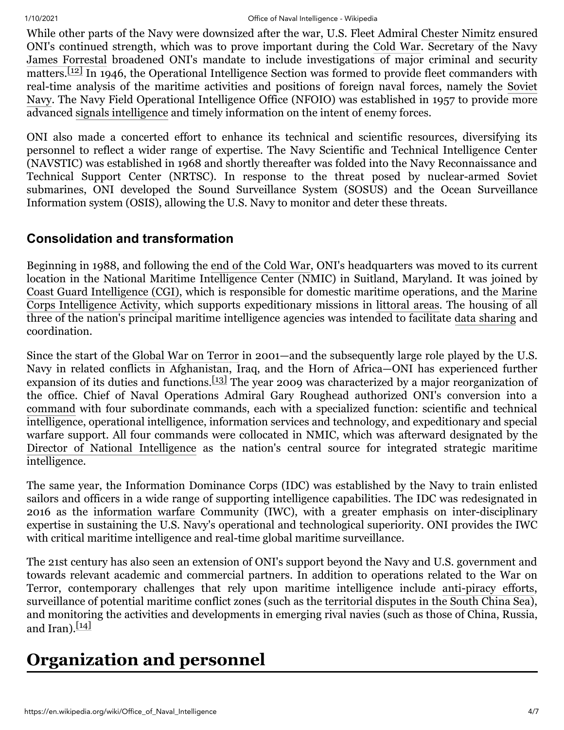### 1/10/2021 Office of Naval Intelligence - Wikipedia

While other parts of the Navy were downsized after the war, U.S. Fleet Admiral [Chester Nimitz](https://en.wikipedia.org/wiki/Chester_Nimitz) ensured ONI's continued strength, which was to prove important during the [Cold War](https://en.wikipedia.org/wiki/Cold_War). Secretary of the Navy [James Forrestal](https://en.wikipedia.org/wiki/James_Forrestal) broadened ONI's mandate to include investigations of major criminal and security  $\overline{\text{matters.}}$  In 1946, the Operational Intelligence Section was formed to provide fleet commanders with [real-time analysis of the maritime activities and positions of foreign naval forces, namely the Soviet](https://en.wikipedia.org/wiki/Soviet_Navy) Navy. The Navy Field Operational Intelligence Office (NFOIO) was established in 1957 to provide more advanced [signals intelligence](https://en.wikipedia.org/wiki/Signals_intelligence) and timely information on the intent of enemy forces.

ONI also made a concerted effort to enhance its technical and scientific resources, diversifying its personnel to reflect a wider range of expertise. The Navy Scientific and Technical Intelligence Center (NAVSTIC) was established in 1968 and shortly thereafter was folded into the Navy Reconnaissance and Technical Support Center (NRTSC). In response to the threat posed by nuclear-armed Soviet submarines, ONI developed the Sound Surveillance System (SOSUS) and the Ocean Surveillance Information system (OSIS), allowing the U.S. Navy to monitor and deter these threats.

### <span id="page-3-0"></span>**Consolidation and transformation**

Beginning in 1988, and following the [end of the Cold War](https://en.wikipedia.org/wiki/Dissolution_of_the_Soviet_Union), ONI's headquarters was moved to its current location in the National Maritime Intelligence Center (NMIC) in Suitland, Maryland. It was joined by [Coast Guard Intelligence \(CGI\)](https://en.wikipedia.org/wiki/Coast_Guard_Intelligence_(CGI))[, which is responsible for domestic maritime operations, and the Marine](https://en.wikipedia.org/wiki/Marine_Corps_Intelligence_Activity) Corps Intelligence Activity, which supports expeditionary missions in [littoral areas.](https://en.wikipedia.org/wiki/Littoral_zone) The housing of all three of the nation's principal maritime intelligence agencies was intended to facilitate [data sharing](https://en.wikipedia.org/wiki/Data_sharing) and coordination.

Since the start of the [Global War on Terror](https://en.wikipedia.org/wiki/Global_War_on_Terror) in 2001—and the subsequently large role played by the U.S. Navy in related conflicts in Afghanistan, Iraq, and the Horn of Africa—ONI has experienced further expansion of its duties and functions.[\[13\]](#page-6-7) The year 2009 was characterized by a major reorganization of the office. Chief of Naval Operations Admiral Gary Roughead authorized ONI's conversion into a [command](https://en.wikipedia.org/wiki/Command_(military_formation)) with four subordinate commands, each with a specialized function: scientific and technical intelligence, operational intelligence, information services and technology, and expeditionary and special warfare support. All four commands were collocated in NMIC, which was afterward designated by the [Director of National Intelligence](https://en.wikipedia.org/wiki/Director_of_National_Intelligence) as the nation's central source for integrated strategic maritime intelligence.

The same year, the Information Dominance Corps (IDC) was established by the Navy to train enlisted sailors and officers in a wide range of supporting intelligence capabilities. The IDC was redesignated in 2016 as the [information warfare](https://en.wikipedia.org/wiki/Information_warfare) Community (IWC), with a greater emphasis on inter-disciplinary expertise in sustaining the U.S. Navy's operational and technological superiority. ONI provides the IWC with critical maritime intelligence and real-time global maritime surveillance.

The 21st century has also seen an extension of ONI's support beyond the Navy and U.S. government and towards relevant academic and commercial partners. In addition to operations related to the War on Terror, contemporary challenges that rely upon maritime intelligence include [anti-piracy efforts](https://en.wikipedia.org/wiki/Anti-piracy_measures_in_Somalia), surveillance of potential maritime conflict zones (such as the territorial disputes [in the South China Sea\)](https://en.wikipedia.org/wiki/Territorial_disputes_in_the_South_China_Sea), and monitoring the activities and developments in emerging rival navies (such as those of China, Russia, and Iran). $[14]$ 

# <span id="page-3-1"></span>**Organization and personnel**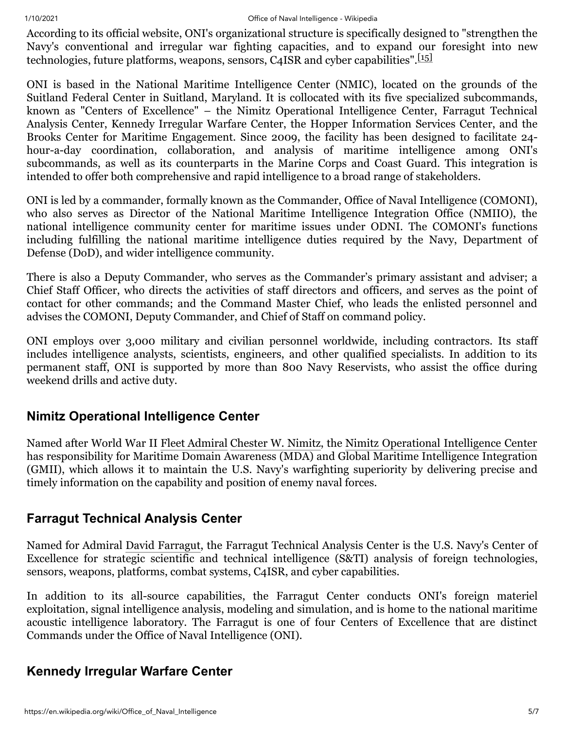### 1/10/2021 Office of Naval Intelligence - Wikipedia

According to its official website, ONI's organizational structure is specifically designed to "strengthen the Navy's conventional and irregular war fighting capacities, and to expand our foresight into new technologies, future platforms, weapons, sensors, C4ISR and cyber capabilities". $\frac{151}{15}$ 

ONI is based in the National Maritime Intelligence Center (NMIC), located on the grounds of the Suitland Federal Center in Suitland, Maryland. It is collocated with its five specialized subcommands, known as "Centers of Excellence" – the Nimitz Operational Intelligence Center, Farragut Technical Analysis Center, Kennedy Irregular Warfare Center, the Hopper Information Services Center, and the Brooks Center for Maritime Engagement. Since 2009, the facility has been designed to facilitate 24 hour-a-day coordination, collaboration, and analysis of maritime intelligence among ONI's subcommands, as well as its counterparts in the Marine Corps and Coast Guard. This integration is intended to offer both comprehensive and rapid intelligence to a broad range of stakeholders.

ONI is led by a commander, formally known as the Commander, Office of Naval Intelligence (COMONI), who also serves as Director of the National Maritime Intelligence Integration Office (NMIIO), the national intelligence community center for maritime issues under ODNI. The COMONI's functions including fulfilling the national maritime intelligence duties required by the Navy, Department of Defense (DoD), and wider intelligence community.

There is also a Deputy Commander, who serves as the Commander's primary assistant and adviser; a Chief Staff Officer, who directs the activities of staff directors and officers, and serves as the point of contact for other commands; and the Command Master Chief, who leads the enlisted personnel and advises the COMONI, Deputy Commander, and Chief of Staff on command policy.

ONI employs over 3,000 military and civilian personnel worldwide, including contractors. Its staff includes intelligence analysts, scientists, engineers, and other qualified specialists. In addition to its permanent staff, ONI is supported by more than 800 Navy Reservists, who assist the office during weekend drills and active duty.

### <span id="page-4-0"></span>**Nimitz Operational Intelligence Center**

Named after World War II [Fleet Admiral](https://en.wikipedia.org/wiki/Fleet_admiral_(United_States)) [Chester W. Nimitz](https://en.wikipedia.org/wiki/Chester_W._Nimitz), the [Nimitz Operational Intelligence Center](https://en.wikipedia.org/wiki/Nimitz_Operational_Intelligence_Center) has responsibility for Maritime Domain Awareness (MDA) and Global Maritime Intelligence Integration (GMII), which allows it to maintain the U.S. Navy's warfighting superiority by delivering precise and timely information on the capability and position of enemy naval forces.

### <span id="page-4-1"></span>**Farragut Technical Analysis Center**

Named for Admiral [David Farragut,](https://en.wikipedia.org/wiki/David_Farragut) the Farragut Technical Analysis Center is the U.S. Navy's Center of Excellence for strategic scientific and technical intelligence (S&TI) analysis of foreign technologies, sensors, weapons, platforms, combat systems, C4ISR, and cyber capabilities.

In addition to its all-source capabilities, the Farragut Center conducts ONI's foreign materiel exploitation, signal intelligence analysis, modeling and simulation, and is home to the national maritime acoustic intelligence laboratory. The Farragut is one of four Centers of Excellence that are distinct Commands under the Office of Naval Intelligence (ONI).

### <span id="page-4-2"></span>**Kennedy Irregular Warfare Center**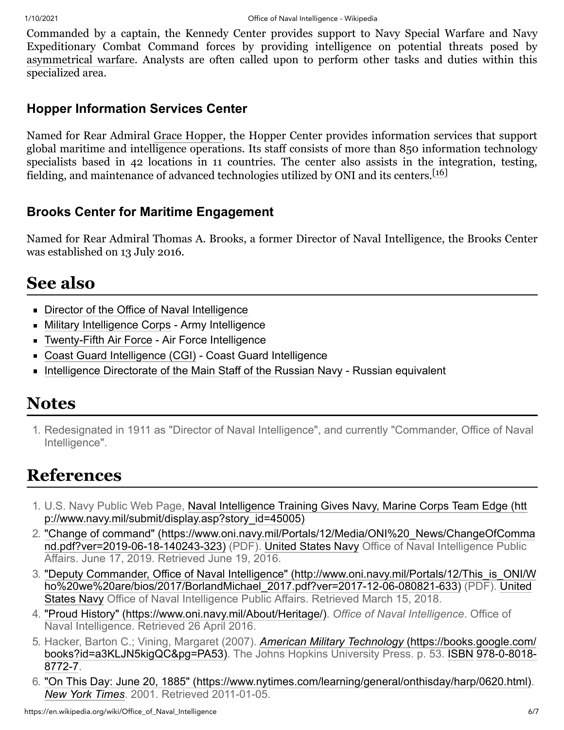Commanded by a captain, the Kennedy Center provides support to Navy Special Warfare and Navy Expeditionary Combat Command forces by providing intelligence on potential threats posed by [asymmetrical warfare](https://en.wikipedia.org/wiki/Asymmetrical_warfare). Analysts are often called upon to perform other tasks and duties within this specialized area.

## <span id="page-5-5"></span>**Hopper Information Services Center**

Named for Rear Admiral [Grace Hopper,](https://en.wikipedia.org/wiki/Grace_Hopper) the Hopper Center provides information services that support global maritime and intelligence operations. Its staff consists of more than 850 information technology specialists based in 42 locations in 11 countries. The center also assists in the integration, testing, fielding, and maintenance of advanced technologies utilized by ONI and its centers.<sup>[\[16\]](#page-6-10)</sup>

## <span id="page-5-6"></span>**Brooks Center for Maritime Engagement**

Named for Rear Admiral Thomas A. Brooks, a former Director of Naval Intelligence, the Brooks Center was established on 13 July 2016.

# <span id="page-5-7"></span>**See also**

- **[Director of the Office of Naval Intelligence](https://en.wikipedia.org/wiki/Director_of_the_Office_of_Naval_Intelligence)**
- [Military Intelligence Corps](https://en.wikipedia.org/wiki/Military_Intelligence_Corps)  Army Intelligence
- [Twenty-Fifth Air Force](https://en.wikipedia.org/wiki/Twenty-Fifth_Air_Force) Air Force Intelligence
- [Coast Guard Intelligence \(CGI\)](https://en.wikipedia.org/wiki/Coast_Guard_Intelligence_(CGI))  Coast Guard Intelligence
- **[Intelligence Directorate of the Main Staff of the Russian Navy](https://en.wikipedia.org/wiki/Intelligence_Directorate_of_the_Main_Staff_of_the_Russian_Navy) Russian equivalent**

## <span id="page-5-8"></span>**Notes**

<span id="page-5-11"></span>1. Redesignated in 1911 as "Director of Naval Intelligence", and currently "Commander, Office of Naval Intelligence".

# <span id="page-5-9"></span>**References**

- <span id="page-5-0"></span>1. [U.S. Navy Public Web Page, Naval Intelligence Training Gives Navy, Marine Corps Team Edge \(htt](http://www.navy.mil/submit/display.asp?story_id=45005) p://www.navy.mil/submit/display.asp?story\_id=45005)
- <span id="page-5-1"></span>2. ["Change of command" \(https://www.oni.navy.mil/Portals/12/Media/ONI%20\\_News/ChangeOfComma](https://www.oni.navy.mil/Portals/12/Media/ONI%20_News/ChangeOfCommand.pdf?ver=2019-06-18-140243-323) nd.pdf?ver=2019-06-18-140243-323) (PDF). [United States Navy](https://en.wikipedia.org/wiki/United_States_Navy) Office of Naval Intelligence Public Affairs. June 17, 2019. Retrieved June 19, 2016.
- <span id="page-5-2"></span>3. ["Deputy Commander, Office of Naval Intelligence" \(http://www.oni.navy.mil/Portals/12/This\\_is\\_ONI/W](http://www.oni.navy.mil/Portals/12/This_is_ONI/Who%20we%20are/bios/2017/BorlandMichael_2017.pdf?ver=2017-12-06-080821-633) [ho%20we%20are/bios/2017/BorlandMichael\\_2017.pdf?ver=2017-12-06-080821-633\)](https://en.wikipedia.org/wiki/United_States_Navy) (PDF). United States Navy Office of Naval Intelligence Public Affairs. Retrieved March 15, 2018.
- <span id="page-5-3"></span>4. ["Proud History" \(https://www.oni.navy.mil/About/Heritage/\)](https://www.oni.navy.mil/About/Heritage/). *Office of Naval Intelligence*. Office of Naval Intelligence. Retrieved 26 April 2016.
- <span id="page-5-4"></span>5. Hacker, Barton C.; Vining, Margaret (2007). *American Military Technology* (https://books.google.com/ [books?id=a3KLJN5kigQC&pg=PA53\). The Johns Hopkins University Press. p. 53. ISBN](https://books.google.com/books?id=a3KLJN5kigQC&pg=PA53) 978-0-8018- 8772-7.
- <span id="page-5-10"></span>6. ["On This Day: June 20, 1885" \(https://www.nytimes.com/learning/general/onthisday/harp/0620.html\).](https://www.nytimes.com/learning/general/onthisday/harp/0620.html) *[New York Times](https://en.wikipedia.org/wiki/New_York_Times)*. 2001. Retrieved 2011-01-05.